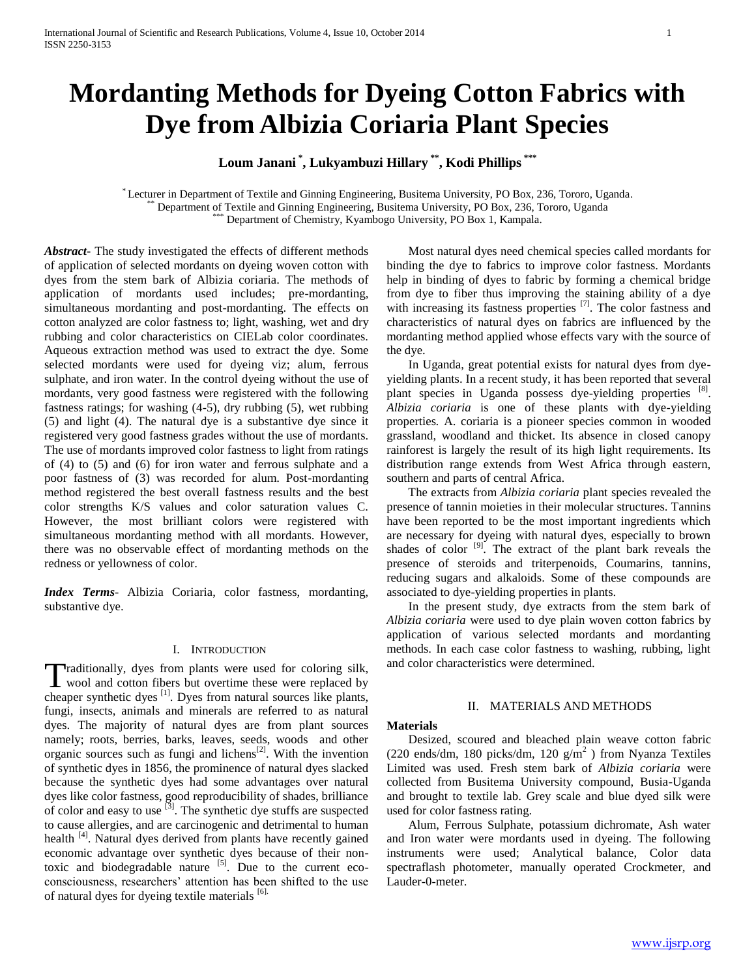# **Mordanting Methods for Dyeing Cotton Fabrics with Dye from Albizia Coriaria Plant Species**

**Loum Janani \* , Lukyambuzi Hillary \*\* , Kodi Phillips \*\*\***

\* Lecturer in Department of Textile and Ginning Engineering, Busitema University, PO Box, 236, Tororo, Uganda. \*\* Department of Textile and Ginning Engineering, Busitema University, PO Box, 236, Tororo, Uganda Department of Chemistry, Kyambogo University, PO Box 1, Kampala.

*Abstract***-** The study investigated the effects of different methods of application of selected mordants on dyeing woven cotton with dyes from the stem bark of Albizia coriaria. The methods of application of mordants used includes; pre-mordanting, simultaneous mordanting and post-mordanting. The effects on cotton analyzed are color fastness to; light, washing, wet and dry rubbing and color characteristics on CIELab color coordinates. Aqueous extraction method was used to extract the dye. Some selected mordants were used for dyeing viz; alum, ferrous sulphate, and iron water. In the control dyeing without the use of mordants, very good fastness were registered with the following fastness ratings; for washing (4-5), dry rubbing (5), wet rubbing (5) and light (4). The natural dye is a substantive dye since it registered very good fastness grades without the use of mordants. The use of mordants improved color fastness to light from ratings of (4) to (5) and (6) for iron water and ferrous sulphate and a poor fastness of (3) was recorded for alum. Post-mordanting method registered the best overall fastness results and the best color strengths K/S values and color saturation values C. However, the most brilliant colors were registered with simultaneous mordanting method with all mordants. However, there was no observable effect of mordanting methods on the redness or yellowness of color.

*Index Terms*- Albizia Coriaria, color fastness, mordanting, substantive dye.

## I. INTRODUCTION

raditionally, dyes from plants were used for coloring silk, Traditionally, dyes from plants were used for coloring silk,<br>wool and cotton fibers but overtime these were replaced by cheaper synthetic dyes <sup>[1]</sup>. Dyes from natural sources like plants, fungi, insects, animals and minerals are referred to as natural dyes. The majority of natural dyes are from plant sources namely; roots, berries, barks, leaves, seeds, woods and other organic sources such as fungi and lichens[2]. With the invention of synthetic dyes in 1856, the prominence of natural dyes slacked because the synthetic dyes had some advantages over natural dyes like color fastness, good reproducibility of shades, brilliance of color and easy to use [3]. The synthetic dye stuffs are suspected to cause allergies, and are carcinogenic and detrimental to human health <sup>[4]</sup>. Natural dyes derived from plants have recently gained economic advantage over synthetic dyes because of their nontoxic and biodegradable nature  $\begin{bmatrix} 5 \end{bmatrix}$ . Due to the current ecoconsciousness, researchers" attention has been shifted to the use of natural dyes for dyeing textile materials [6].

 Most natural dyes need chemical species called mordants for binding the dye to fabrics to improve color fastness. Mordants help in binding of dyes to fabric by forming a chemical bridge from dye to fiber thus improving the staining ability of a dye with increasing its fastness properties <sup>[7]</sup>. The color fastness and characteristics of natural dyes on fabrics are influenced by the mordanting method applied whose effects vary with the source of the dye.

 In Uganda, great potential exists for natural dyes from dyeyielding plants. In a recent study, it has been reported that several plant species in Uganda possess dye-yielding properties [8]. *Albizia coriaria* is one of these plants with dye-yielding properties*.* A. coriaria is a pioneer species common in wooded grassland, woodland and thicket. Its absence in closed canopy rainforest is largely the result of its high light requirements. Its distribution range extends from West Africa through eastern, southern and parts of central Africa.

 The extracts from *Albizia coriaria* plant species revealed the presence of tannin moieties in their molecular structures. Tannins have been reported to be the most important ingredients which are necessary for dyeing with natural dyes, especially to brown shades of color  $[9]$ . The extract of the plant bark reveals the presence of steroids and triterpenoids, Coumarins, tannins, reducing sugars and alkaloids. Some of these compounds are associated to dye-yielding properties in plants.

 In the present study, dye extracts from the stem bark of *Albizia coriaria* were used to dye plain woven cotton fabrics by application of various selected mordants and mordanting methods. In each case color fastness to washing, rubbing, light and color characteristics were determined.

### II. MATERIALS AND METHODS

### **Materials**

 Desized, scoured and bleached plain weave cotton fabric (220 ends/dm, 180 picks/dm, 120  $g/m^2$ ) from Nyanza Textiles Limited was used. Fresh stem bark of *Albizia coriaria* were collected from Busitema University compound, Busia-Uganda and brought to textile lab. Grey scale and blue dyed silk were used for color fastness rating.

 Alum, Ferrous Sulphate, potassium dichromate, Ash water and Iron water were mordants used in dyeing. The following instruments were used; Analytical balance, Color data spectraflash photometer, manually operated Crockmeter, and Lauder-0-meter.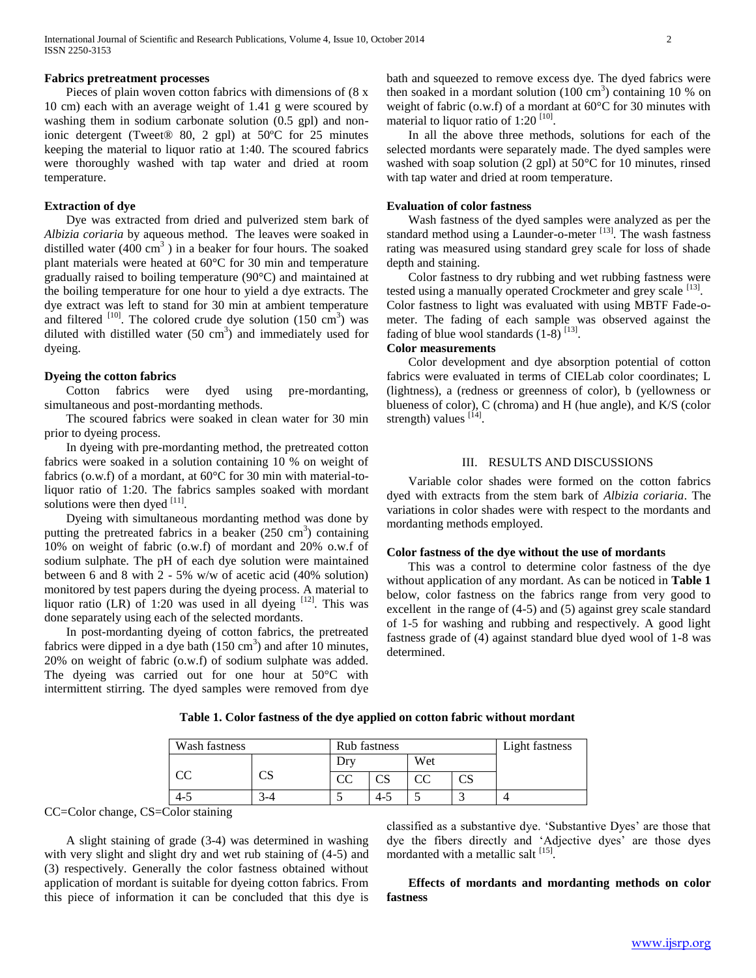#### **Fabrics pretreatment processes**

 Pieces of plain woven cotton fabrics with dimensions of (8 x 10 cm) each with an average weight of 1.41 g were scoured by washing them in sodium carbonate solution (0.5 gpl) and nonionic detergent (Tweet® 80, 2 gpl) at 50ºC for 25 minutes keeping the material to liquor ratio at 1:40. The scoured fabrics were thoroughly washed with tap water and dried at room temperature.

#### **Extraction of dye**

 Dye was extracted from dried and pulverized stem bark of *Albizia coriaria* by aqueous method. The leaves were soaked in distilled water  $(400 \text{ cm}^3)$  in a beaker for four hours. The soaked plant materials were heated at 60°C for 30 min and temperature gradually raised to boiling temperature (90°C) and maintained at the boiling temperature for one hour to yield a dye extracts. The dye extract was left to stand for 30 min at ambient temperature and filtered  $[10]$ . The colored crude dye solution  $(150 \text{ cm}^3)$  was diluted with distilled water  $(50 \text{ cm}^3)$  and immediately used for dyeing.

# **Dyeing the cotton fabrics**

 Cotton fabrics were dyed using pre-mordanting, simultaneous and post-mordanting methods.

 The scoured fabrics were soaked in clean water for 30 min prior to dyeing process.

 In dyeing with pre-mordanting method, the pretreated cotton fabrics were soaked in a solution containing 10 % on weight of fabrics (o.w.f) of a mordant, at 60°C for 30 min with material-toliquor ratio of 1:20. The fabrics samples soaked with mordant solutions were then dyed  $^{[11]}$ .

 Dyeing with simultaneous mordanting method was done by putting the pretreated fabrics in a beaker  $(250 \text{ cm}^3)$  containing 10% on weight of fabric (o.w.f) of mordant and 20% o.w.f of sodium sulphate. The pH of each dye solution were maintained between 6 and 8 with 2 - 5% w/w of acetic acid (40% solution) monitored by test papers during the dyeing process. A material to liquor ratio (LR) of 1:20 was used in all dyeing  $[12]$ . This was done separately using each of the selected mordants.

 In post-mordanting dyeing of cotton fabrics, the pretreated fabrics were dipped in a dye bath  $(150 \text{ cm}^3)$  and after 10 minutes, 20% on weight of fabric (o.w.f) of sodium sulphate was added. The dyeing was carried out for one hour at 50°C with intermittent stirring. The dyed samples were removed from dye

bath and squeezed to remove excess dye. The dyed fabrics were then soaked in a mordant solution  $(100 \text{ cm}^3)$  containing 10 % on weight of fabric (o.w.f) of a mordant at 60°C for 30 minutes with material to liquor ratio of  $1:20$  [10].

 In all the above three methods, solutions for each of the selected mordants were separately made. The dyed samples were washed with soap solution (2 gpl) at 50°C for 10 minutes, rinsed with tap water and dried at room temperature.

#### **Evaluation of color fastness**

 Wash fastness of the dyed samples were analyzed as per the standard method using a Launder-o-meter  $^{[13]}$ . The wash fastness rating was measured using standard grey scale for loss of shade depth and staining.

 Color fastness to dry rubbing and wet rubbing fastness were tested using a manually operated Crockmeter and grey scale [13]. Color fastness to light was evaluated with using MBTF Fade-ometer. The fading of each sample was observed against the fading of blue wool standards  $(1-8)^{[13]}$ .

## **Color measurements**

 Color development and dye absorption potential of cotton fabrics were evaluated in terms of CIELab color coordinates; L (lightness), a (redness or greenness of color), b (yellowness or blueness of color), C (chroma) and H (hue angle), and K/S (color strength) values  $^{[14]}$ .

#### III. RESULTS AND DISCUSSIONS

 Variable color shades were formed on the cotton fabrics dyed with extracts from the stem bark of *Albizia coriaria*. The variations in color shades were with respect to the mordants and mordanting methods employed.

#### **Color fastness of the dye without the use of mordants**

 This was a control to determine color fastness of the dye without application of any mordant. As can be noticed in **Table 1** below, color fastness on the fabrics range from very good to excellent in the range of (4-5) and (5) against grey scale standard of 1-5 for washing and rubbing and respectively. A good light fastness grade of (4) against standard blue dyed wool of 1-8 was determined.

| Wash fastness |   | Rub fastness |     |     |  | Light fastness |
|---------------|---|--------------|-----|-----|--|----------------|
|               |   |              |     | Wet |  |                |
|               | w |              | CS  |     |  |                |
| -4-5          |   |              | 4-5 |     |  |                |

**Table 1. Color fastness of the dye applied on cotton fabric without mordant**

CC=Color change, CS=Color staining

 A slight staining of grade (3-4) was determined in washing with very slight and slight dry and wet rub staining of (4-5) and (3) respectively. Generally the color fastness obtained without application of mordant is suitable for dyeing cotton fabrics. From this piece of information it can be concluded that this dye is classified as a substantive dye. "Substantive Dyes" are those that dye the fibers directly and 'Adjective dyes' are those dyes mordanted with a metallic salt [15].

 **Effects of mordants and mordanting methods on color fastness**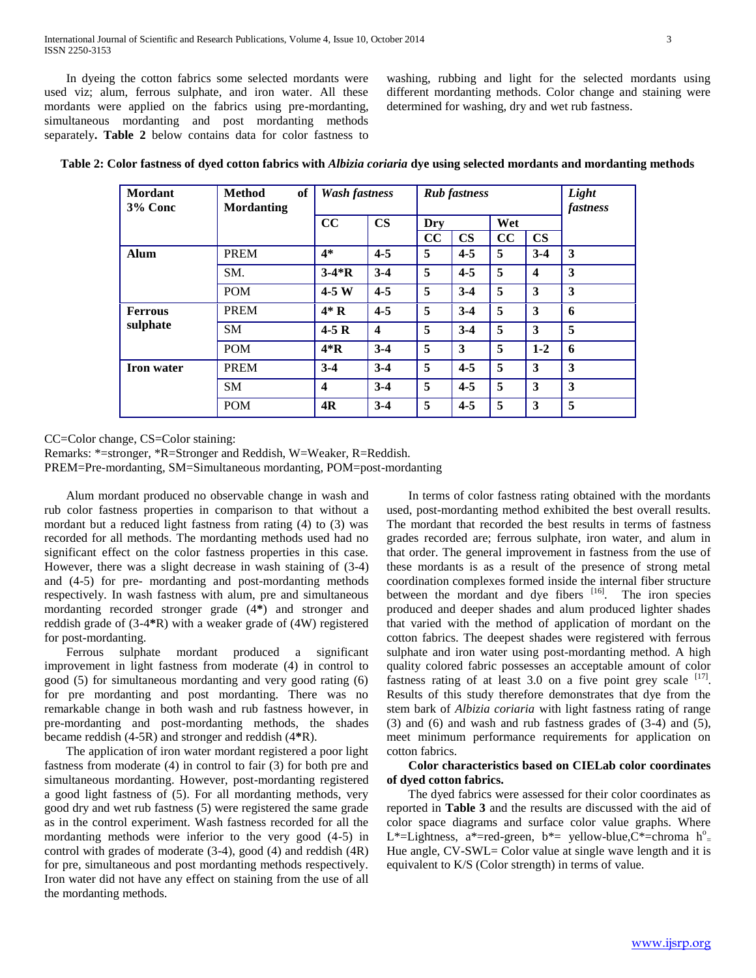In dyeing the cotton fabrics some selected mordants were used viz; alum, ferrous sulphate, and iron water. All these mordants were applied on the fabrics using pre-mordanting, simultaneous mordanting and post mordanting methods separately**. Table 2** below contains data for color fastness to washing, rubbing and light for the selected mordants using different mordanting methods. Color change and staining were determined for washing, dry and wet rub fastness.

| Mordant<br>3% Conc         | <b>Method</b><br>of<br><b>Mordanting</b> | <b>Wash fastness</b>    |                         | <b>Rub</b> fastness |               |     |                         | Light<br>fastness |  |
|----------------------------|------------------------------------------|-------------------------|-------------------------|---------------------|---------------|-----|-------------------------|-------------------|--|
|                            |                                          | cc                      | $\mathbf{CS}$           | Dry                 |               | Wet |                         |                   |  |
|                            |                                          |                         |                         | cc                  | $\mathbf{CS}$ | cc  | $\mathbf{CS}$           |                   |  |
| <b>Alum</b>                | <b>PREM</b>                              | $4*$                    | $4 - 5$                 | 5                   | $4 - 5$       | 5   | $3-4$                   | 3                 |  |
|                            | SM.                                      | $3-4*R$                 | $3-4$                   | 5                   | $4 - 5$       | 5   | $\overline{\mathbf{4}}$ | 3                 |  |
|                            | <b>POM</b>                               | $4-5W$                  | $4 - 5$                 | 5                   | $3-4$         | 5   | 3                       | 3                 |  |
| <b>Ferrous</b><br>sulphate | <b>PREM</b>                              | $4*R$                   | $4 - 5$                 | 5                   | $3-4$         | 5   | 3                       | 6                 |  |
|                            | <b>SM</b>                                | $4-5R$                  | $\overline{\mathbf{4}}$ | 5                   | $3-4$         | 5   | 3                       | 5                 |  |
|                            | <b>POM</b>                               | $4*{\bf R}$             | $3-4$                   | 5                   | 3             | 5   | $1-2$                   | 6                 |  |
| <b>Iron</b> water          | <b>PREM</b>                              | $3-4$                   | $3-4$                   | 5                   | $4 - 5$       | 5   | 3                       | 3                 |  |
|                            | <b>SM</b>                                | $\overline{\mathbf{4}}$ | $3-4$                   | 5                   | $4 - 5$       | 5   | 3                       | 3                 |  |
|                            | <b>POM</b>                               | 4R                      | $3-4$                   | 5                   | $4 - 5$       | 5   | 3                       | 5                 |  |

**Table 2: Color fastness of dyed cotton fabrics with** *Albizia coriaria* **dye using selected mordants and mordanting methods**

CC=Color change, CS=Color staining:

Remarks: \*=stronger, \*R=Stronger and Reddish, W=Weaker, R=Reddish. PREM=Pre-mordanting, SM=Simultaneous mordanting, POM=post-mordanting

 Alum mordant produced no observable change in wash and rub color fastness properties in comparison to that without a mordant but a reduced light fastness from rating (4) to (3) was recorded for all methods. The mordanting methods used had no significant effect on the color fastness properties in this case. However, there was a slight decrease in wash staining of (3-4) and (4-5) for pre- mordanting and post-mordanting methods respectively. In wash fastness with alum, pre and simultaneous mordanting recorded stronger grade (4**\***) and stronger and reddish grade of (3-4**\***R) with a weaker grade of (4W) registered for post-mordanting.

 Ferrous sulphate mordant produced a significant improvement in light fastness from moderate (4) in control to good (5) for simultaneous mordanting and very good rating (6) for pre mordanting and post mordanting. There was no remarkable change in both wash and rub fastness however, in pre-mordanting and post-mordanting methods, the shades became reddish (4-5R) and stronger and reddish (4**\***R).

 The application of iron water mordant registered a poor light fastness from moderate (4) in control to fair (3) for both pre and simultaneous mordanting. However, post-mordanting registered a good light fastness of (5). For all mordanting methods, very good dry and wet rub fastness (5) were registered the same grade as in the control experiment. Wash fastness recorded for all the mordanting methods were inferior to the very good (4-5) in control with grades of moderate (3-4), good (4) and reddish (4R) for pre, simultaneous and post mordanting methods respectively. Iron water did not have any effect on staining from the use of all the mordanting methods.

 In terms of color fastness rating obtained with the mordants used, post-mordanting method exhibited the best overall results. The mordant that recorded the best results in terms of fastness grades recorded are; ferrous sulphate, iron water, and alum in that order. The general improvement in fastness from the use of these mordants is as a result of the presence of strong metal coordination complexes formed inside the internal fiber structure between the mordant and dye fibers [16]. The iron species produced and deeper shades and alum produced lighter shades that varied with the method of application of mordant on the cotton fabrics. The deepest shades were registered with ferrous sulphate and iron water using post-mordanting method. A high quality colored fabric possesses an acceptable amount of color fastness rating of at least  $3.0$  on a five point grey scale  $[17]$ . Results of this study therefore demonstrates that dye from the stem bark of *Albizia coriaria* with light fastness rating of range (3) and (6) and wash and rub fastness grades of (3-4) and (5), meet minimum performance requirements for application on cotton fabrics.

# **Color characteristics based on CIELab color coordinates of dyed cotton fabrics.**

 The dyed fabrics were assessed for their color coordinates as reported in **Table 3** and the results are discussed with the aid of color space diagrams and surface color value graphs. Where L\*=Lightness, a\*=red-green, b\*= yellow-blue, C\*=chroma  $h^o$ = Hue angle, CV-SWL= Color value at single wave length and it is equivalent to K/S (Color strength) in terms of value.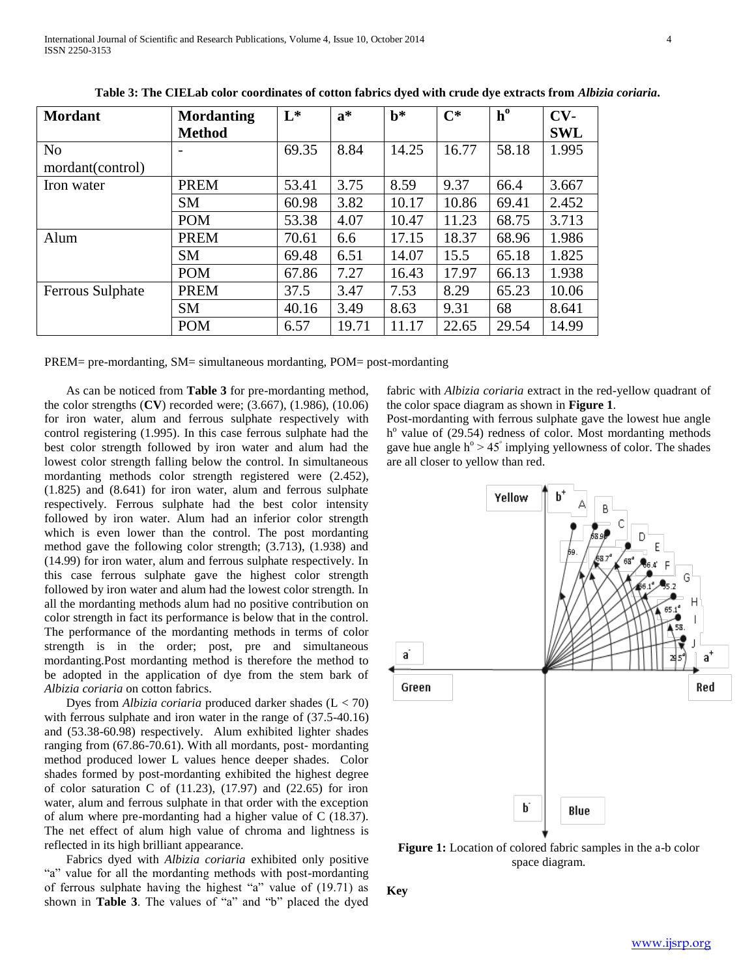PREM= pre-mordanting, SM= simultaneous mordanting, POM= post-mordanting

 As can be noticed from **Table 3** for pre-mordanting method, the color strengths (**CV**) recorded were; (3.667), (1.986), (10.06) for iron water, alum and ferrous sulphate respectively with control registering (1.995). In this case ferrous sulphate had the best color strength followed by iron water and alum had the lowest color strength falling below the control. In simultaneous mordanting methods color strength registered were (2.452), (1.825) and (8.641) for iron water, alum and ferrous sulphate respectively. Ferrous sulphate had the best color intensity followed by iron water. Alum had an inferior color strength which is even lower than the control. The post mordanting method gave the following color strength; (3.713), (1.938) and (14.99) for iron water, alum and ferrous sulphate respectively. In this case ferrous sulphate gave the highest color strength followed by iron water and alum had the lowest color strength. In all the mordanting methods alum had no positive contribution on color strength in fact its performance is below that in the control. The performance of the mordanting methods in terms of color strength is in the order; post, pre and simultaneous mordanting.Post mordanting method is therefore the method to be adopted in the application of dye from the stem bark of *Albizia coriaria* on cotton fabrics.

 Dyes from *Albizia coriaria* produced darker shades (L < 70) with ferrous sulphate and iron water in the range of  $(37.5-40.16)$ and (53.38-60.98) respectively. Alum exhibited lighter shades ranging from (67.86-70.61). With all mordants, post- mordanting method produced lower L values hence deeper shades. Color shades formed by post-mordanting exhibited the highest degree of color saturation C of  $(11.23)$ ,  $(17.97)$  and  $(22.65)$  for iron water, alum and ferrous sulphate in that order with the exception of alum where pre-mordanting had a higher value of C (18.37). The net effect of alum high value of chroma and lightness is reflected in its high brilliant appearance.

 Fabrics dyed with *Albizia coriaria* exhibited only positive "a" value for all the mordanting methods with post-mordanting of ferrous sulphate having the highest "a" value of (19.71) as shown in **Table 3**. The values of "a" and "b" placed the dyed

fabric with *Albizia coriaria* extract in the red-yellow quadrant of the color space diagram as shown in **Figure 1**.

Post-mordanting with ferrous sulphate gave the lowest hue angle h<sup>o</sup> value of (29.54) redness of color. Most mordanting methods gave hue angle  $h^{\circ} > 45^{\circ}$  implying yellowness of color. The shades are all closer to yellow than red.



**Key**

| International Journal of Scientific and Research Publications, Volume 4, Issue 10, October 2014 |  |  |
|-------------------------------------------------------------------------------------------------|--|--|
| ISSN 2250-3153                                                                                  |  |  |
|                                                                                                 |  |  |

| <b>Mordant</b>   | <b>Mordanting</b> | $L^*$ | $a^*$ | $\mathbf{b}^*$ | $\mathbf{C}^*$ | $h^0$ | $CV-$      |
|------------------|-------------------|-------|-------|----------------|----------------|-------|------------|
|                  | <b>Method</b>     |       |       |                |                |       | <b>SWL</b> |
| N <sub>o</sub>   |                   | 69.35 | 8.84  | 14.25          | 16.77          | 58.18 | 1.995      |
| mordant(control) |                   |       |       |                |                |       |            |
| Iron water       | <b>PREM</b>       | 53.41 | 3.75  | 8.59           | 9.37           | 66.4  | 3.667      |
|                  | <b>SM</b>         | 60.98 | 3.82  | 10.17          | 10.86          | 69.41 | 2.452      |
|                  | <b>POM</b>        | 53.38 | 4.07  | 10.47          | 11.23          | 68.75 | 3.713      |
| Alum             | <b>PREM</b>       | 70.61 | 6.6   | 17.15          | 18.37          | 68.96 | 1.986      |
|                  | <b>SM</b>         | 69.48 | 6.51  | 14.07          | 15.5           | 65.18 | 1.825      |
|                  | <b>POM</b>        | 67.86 | 7.27  | 16.43          | 17.97          | 66.13 | 1.938      |
| Ferrous Sulphate | <b>PREM</b>       | 37.5  | 3.47  | 7.53           | 8.29           | 65.23 | 10.06      |
|                  | <b>SM</b>         | 40.16 | 3.49  | 8.63           | 9.31           | 68    | 8.641      |
|                  | <b>POM</b>        | 6.57  | 19.71 | 11.17          | 22.65          | 29.54 | 14.99      |

**Table 3: The CIELab color coordinates of cotton fabrics dyed with crude dye extracts from** *Albizia coriaria***.**